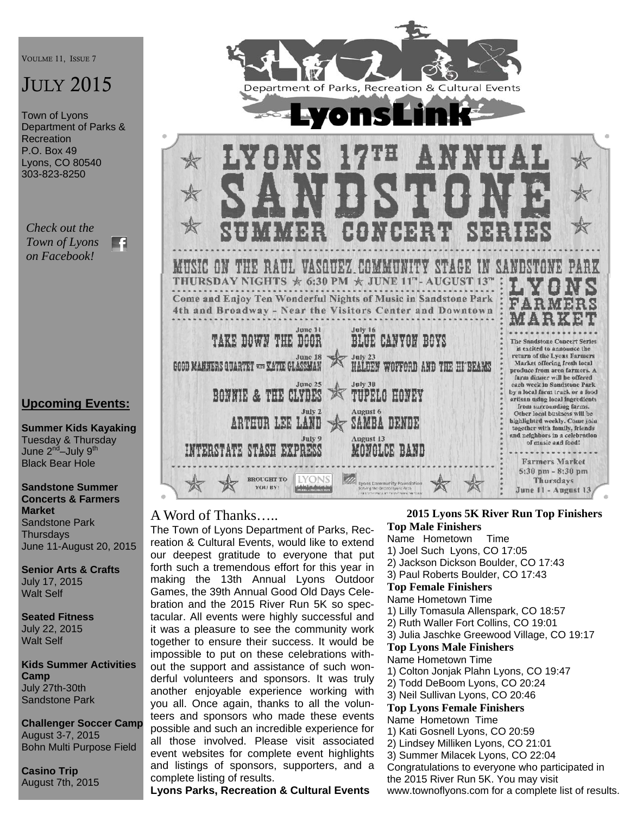VOULME 11, ISSUE 7

# JULY 2015

Town of Lyons Department of Parks & **Recreation** P.O. Box 49 Lyons, CO 80540 303-823-8250

*Check out the Town of Lyons*  FA *on Facebook!* 

#### **Upcoming Events:**

**Summer Kids Kayaking**  Tuesday & Thursday June 2<sup>nd</sup>–July 9<sup>th</sup> Black Bear Hole

**Sandstone Summer Concerts & Farmers Market**  Sandstone Park **Thursdavs** June 11-August 20, 2015

**Senior Arts & Crafts**  July 17, 2015 Walt Self

**Seated Fitness**  July 22, 2015 Walt Self

**Kids Summer Activities Camp**  July 27th-30th Sandstone Park

**Challenger Soccer Camp**  August 3-7, 2015 Bohn Multi Purpose Field

**Casino Trip**  August 7th, 2015



#### A Word of Thanks…..

The Town of Lyons Department of Parks, Recreation & Cultural Events, would like to extend our deepest gratitude to everyone that put forth such a tremendous effort for this year in making the 13th Annual Lyons Outdoor Games, the 39th Annual Good Old Days Celebration and the 2015 River Run 5K so spectacular. All events were highly successful and it was a pleasure to see the community work together to ensure their success. It would be impossible to put on these celebrations without the support and assistance of such wonderful volunteers and sponsors. It was truly another enjoyable experience working with you all. Once again, thanks to all the volunteers and sponsors who made these events possible and such an incredible experience for all those involved. Please visit associated event websites for complete event highlights and listings of sponsors, supporters, and a complete listing of results.

#### **Lyons Parks, Recreation & Cultural Events**

#### **2015 Lyons 5K River Run Top Finishers Top Male Finishers**

- Name Hometown Time 1) Joel Such Lyons, CO 17:05 2) Jackson Dickson Boulder, CO 17:43 3) Paul Roberts Boulder, CO 17:43 **Top Female Finishers**  Name Hometown Time 1) Lilly Tomasula Allenspark, CO 18:57 2) Ruth Waller Fort Collins, CO 19:01 3) Julia Jaschke Greewood Village, CO 19:17 **Top Lyons Male Finishers**  Name Hometown Time 1) Colton Jonjak Plahn Lyons, CO 19:47 2) Todd DeBoom Lyons, CO 20:24 3) Neil Sullivan Lyons, CO 20:46 **Top Lyons Female Finishers**  Name Hometown Time 1) Kati Gosnell Lyons, CO 20:59 2) Lindsey Milliken Lyons, CO 21:01 3) Summer Milacek Lyons, CO 22:04 Congratulations to everyone who participated in the 2015 River Run 5K. You may visit
- www.townoflyons.com for a complete list of results.